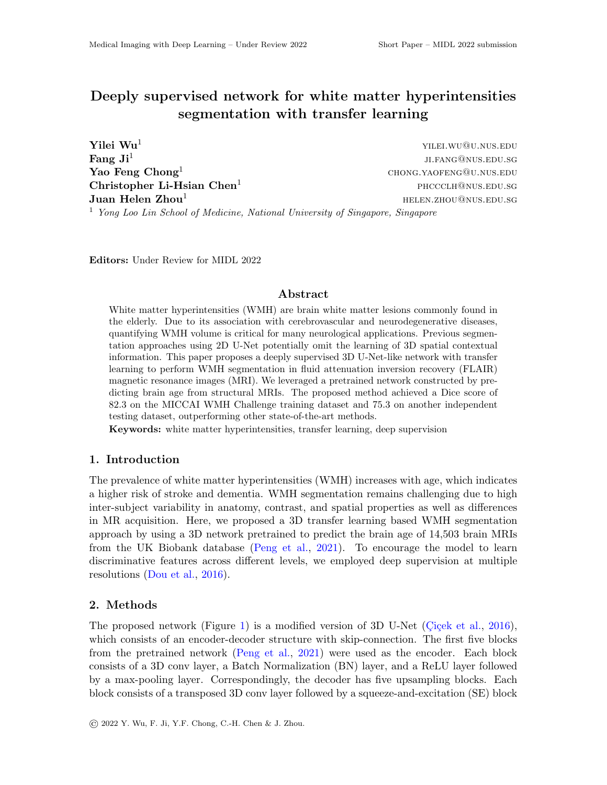# Deeply supervised network for white matter hyperintensities segmentation with transfer learning

 $\bf Yilei\ Wu^1$  yilei.wu@u.nus.edu **Fang**  $Ji^1$  ji.fang@nus.edu.sg **Yao Feng Chong**<sup>1</sup> chong.yaofeng@u.nus.edu Christopher Li-Hsian Chen<sup>1</sup> phccclh@nus.edu.sg phccclh@nus.edu.sg **Juan Helen Zhou<sup>1</sup>**  $H = \text{Hence } H = \text{Hence } H = \text{Hence } H = \text{Hence } H = \text{Hence } H = \text{Hence } H = \text{Hence } H = \text{Hence } H = \text{Hence } H = \text{Hence } H = \text{Hence } H = \text{Hence } H = \text{Hence } H = \text{Hence } H = \text{Hence } H = \text{Hence } H = \text{Hence } H = \text{Hence } H = \text{Hence } H = \text{Hence } H = \text{Hence } H = \text{Hence } H = \text{Hence } H = \text{Hence } H = \text{Hence$ <sup>1</sup> *Yong Loo Lin School of Medicine, National University of Singapore, Singapore*

Editors: Under Review for MIDL 2022

# Abstract

White matter hyperintensities (WMH) are brain white matter lesions commonly found in the elderly. Due to its association with cerebrovascular and neurodegenerative diseases, quantifying WMH volume is critical for many neurological applications. Previous segmentation approaches using 2D U-Net potentially omit the learning of 3D spatial contextual information. This paper proposes a deeply supervised 3D U-Net-like network with transfer learning to perform WMH segmentation in fluid attenuation inversion recovery (FLAIR) magnetic resonance images (MRI). We leveraged a pretrained network constructed by predicting brain age from structural MRIs. The proposed method achieved a Dice score of 82.3 on the MICCAI WMH Challenge training dataset and 75.3 on another independent testing dataset, outperforming other state-of-the-art methods.

Keywords: white matter hyperintensities, transfer learning, deep supervision

# 1. Introduction

The prevalence of white matter hyperintensities (WMH) increases with age, which indicates a higher risk of stroke and dementia. WMH segmentation remains challenging due to high inter-subject variability in anatomy, contrast, and spatial properties as well as differences in MR acquisition. Here, we proposed a 3D transfer learning based WMH segmentation approach by using a 3D network pretrained to predict the brain age of 14,503 brain MRIs from the UK Biobank database [\(Peng et al.,](#page-2-0) [2021\)](#page-2-0). To encourage the model to learn discriminative features across different levels, we employed deep supervision at multiple resolutions [\(Dou et al.,](#page-2-1) [2016\)](#page-2-1).

# 2. Methods

The proposed network (Figure [1\)](#page-1-0) is a modified version of 3D U-Net (Cicek et al.,  $2016$ ), which consists of an encoder-decoder structure with skip-connection. The first five blocks from the pretrained network [\(Peng et al.,](#page-2-0) [2021\)](#page-2-0) were used as the encoder. Each block consists of a 3D conv layer, a Batch Normalization (BN) layer, and a ReLU layer followed by a max-pooling layer. Correspondingly, the decoder has five upsampling blocks. Each block consists of a transposed 3D conv layer followed by a squeeze-and-excitation (SE) block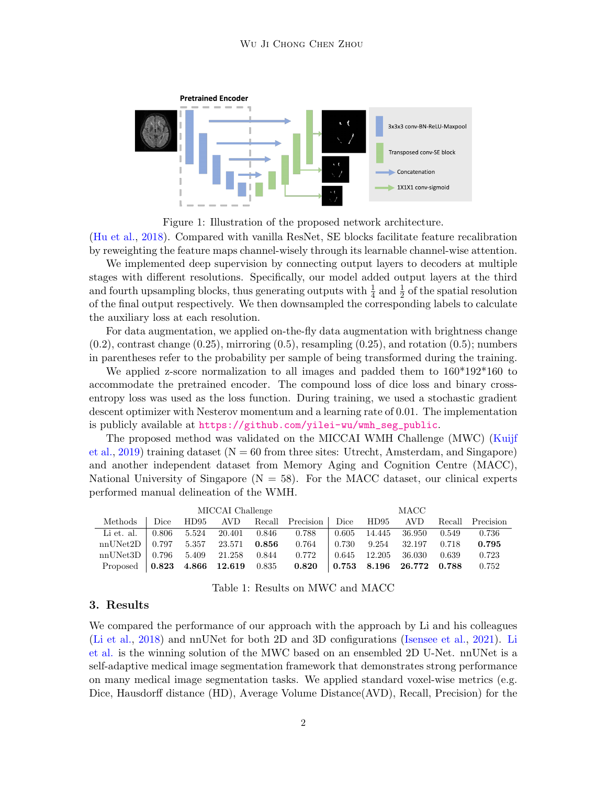<span id="page-1-0"></span>

Figure 1: Illustration of the proposed network architecture.

[\(Hu et al.,](#page-2-3) [2018\)](#page-2-3). Compared with vanilla ResNet, SE blocks facilitate feature recalibration by reweighting the feature maps channel-wisely through its learnable channel-wise attention.

We implemented deep supervision by connecting output layers to decoders at multiple stages with different resolutions. Specifically, our model added output layers at the third and fourth upsampling blocks, thus generating outputs with  $\frac{1}{4}$  and  $\frac{1}{2}$  of the spatial resolution of the final output respectively. We then downsampled the corresponding labels to calculate the auxiliary loss at each resolution.

For data augmentation, we applied on-the-fly data augmentation with brightness change  $(0.2)$ , contrast change  $(0.25)$ , mirroring  $(0.5)$ , resampling  $(0.25)$ , and rotation  $(0.5)$ ; numbers in parentheses refer to the probability per sample of being transformed during the training.

We applied z-score normalization to all images and padded them to 160\*192\*160 to accommodate the pretrained encoder. The compound loss of dice loss and binary crossentropy loss was used as the loss function. During training, we used a stochastic gradient descent optimizer with Nesterov momentum and a learning rate of 0.01. The implementation is publicly available at [https://github.com/yilei-wu/wmh\\_seg\\_public](https://github.com/yilei-wu/wmh_seg_public).

The proposed method was validated on the MICCAI WMH Challenge (MWC) [\(Kuijf](#page-2-4) [et al.,](#page-2-4) [2019\)](#page-2-4) training dataset  $(N = 60$  from three sites: Utrecht, Amsterdam, and Singapore) and another independent dataset from Memory Aging and Cognition Centre (MACC), National University of Singapore ( $N = 58$ ). For the MACC dataset, our clinical experts performed manual delineation of the WMH.

<span id="page-1-1"></span>

|                    | MICCAI Challenge |       |              |             |                  |             | MACC   |                 |       |                  |  |  |  |
|--------------------|------------------|-------|--------------|-------------|------------------|-------------|--------|-----------------|-------|------------------|--|--|--|
| Methods            | Dice             | HD95  | AVD.         |             | Recall Precision | Dice        | HD95   | AV <sub>D</sub> |       | Recall Precision |  |  |  |
| Li et. al.         | 0.806            | 5.524 | 20.401       | 0.846       | 0.788            | 0.605       | 14.445 | 36.950          | 0.549 | 0.736            |  |  |  |
| nnUNet2D           | 0.797            | 5.357 | 23.571       | $\,0.856\,$ | 0.764            | 0.730       | 9.254  | 32.197          | 0.718 | 0.795            |  |  |  |
| nnUNet3D           | 0.796            | 5.409 | 21.258       | 0.844       | 0.772            | 0.645       | 12.205 | 36.030          | 0.639 | 0.723            |  |  |  |
| Proposed   $0.823$ |                  |       | 4.866 12.619 | 0.835       | 0.820            | $\,0.753\,$ |        | 8.196 26.772    | 0.788 | 0.752            |  |  |  |

| Table 1: Results on MWC and MACC |
|----------------------------------|
|----------------------------------|

#### 3. Results

We compared the performance of our approach with the approach by Li and his colleagues [\(Li et al.,](#page-2-5) [2018\)](#page-2-5) and nnUNet for both 2D and 3D configurations [\(Isensee et al.,](#page-2-6) [2021\)](#page-2-6). [Li](#page-2-5) [et al.](#page-2-5) is the winning solution of the MWC based on an ensembled 2D U-Net. nnUNet is a self-adaptive medical image segmentation framework that demonstrates strong performance on many medical image segmentation tasks. We applied standard voxel-wise metrics (e.g. Dice, Hausdorff distance (HD), Average Volume Distance(AVD), Recall, Precision) for the